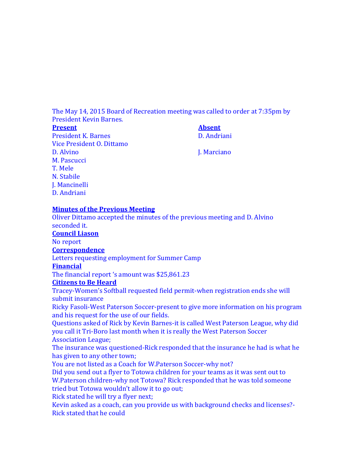The May 14, 2015 Board of Recreation meeting was called to order at 7:35pm by President Kevin Barnes.

### **Present Absent** President K. Barnes D. Andriani Vice President O. Dittamo D. Alvino J. Marciano J. Marciano M. Pascucci T. Mele N. Stabile J. Mancinelli D. Andriani

## **Minutes of the Previous Meeting**

Oliver Dittamo accepted the minutes of the previous meeting and D. Alvino seconded it. **Council Liason** No report **Correspondence** Letters requesting employment for Summer Camp **Financial** The financial report 's amount was \$25,861.23 **Citizens to Be Heard** Tracey-Women's Softball requested field permit-when registration ends she will submit insurance Ricky Fasoli-West Paterson Soccer-present to give more information on his program and his request for the use of our fields. Questions asked of Rick by Kevin Barnes-it is called West Paterson League, why did you call it Tri-Boro last month when it is really the West Paterson Soccer Association League; The insurance was questioned-Rick responded that the insurance he had is what he has given to any other town; You are not listed as a Coach for W.Paterson Soccer-why not? Did you send out a flyer to Totowa children for your teams as it was sent out to W.Paterson children-why not Totowa? Rick responded that he was told someone tried but Totowa wouldn't allow it to go out; Rick stated he will try a flyer next; Kevin asked as a coach, can you provide us with background checks and licenses?-

Rick stated that he could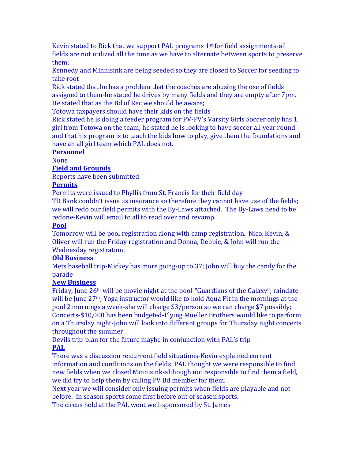Kevin stated to Rick that we support PAL programs 1st for field assignments-all fields are not utilized all the time as we have to alternate between sports to preserve them;

Kennedy and Minnisink are being seeded so they are closed to Soccer for seeding to take root

Rick stated that he has a problem that the coaches are abusing the use of fields assigned to them-he stated he drives by many fields and they are empty after 7pm. He stated that as the Bd of Rec we should be aware;

Totowa taxpayers should have their kids on the fields

Rick stated he is doing a feeder program for PV-PV's Varsity Girls Soccer only has 1 girl from Totowa on the team; he stated he is looking to have soccer all year round and that his program is to teach the kids how to play, give them the foundations and have an all girl team which PAL does not.

## **Personnel**

None

## **Field and Grounds**

Reports have been submitted

### **Permits**

Permits were issued to Phyllis from St. Francis for their field day

TD Bank couldn't issue us insurance so therefore they cannot have use of the fields; we will redo our field permits with the By-Laws attached. The By-Laws need to be redone-Kevin will email to all to read over and revamp.

### **Pool**

Tomorrow will be pool registration along with camp registration. Nico, Kevin, & Oliver will run the Friday registration and Donna, Debbie, & John will run the Wednesday registration.

# **Old Business**

Mets baseball trip-Mickey has more going-up to 37; John will buy the candy for the parade

## **New Business**

Friday, June 26th will be movie night at the pool-"Guardians of the Galaxy"; raindate will be June  $27<sup>th</sup>$ ; Yoga instructor would like to hold Aqua Fit in the mornings at the pool 2 mornings a week-she will charge \$3/person so we can charge \$7 possibly; Concerts-\$10,000 has been budgeted-Flying Mueller Brothers would like to perform on a Thursday night-John will look into different groups for Thursday night concerts throughout the summer

Devils trip-plan for the future maybe in conjunction with PAL's trip **PAL**

There was a discussion re:current field situations-Kevin explained current information and conditions on the fields; PAL thought we were responsible to find new fields when we closed Minnisink-although not responsible to find them a field, we did try to help them by calling PV Bd member for them.

Next year we will consider only issuing permits when fields are playable and not before. In season sports come first before out of season sports.

The circus held at the PAL went well-sponsored by St. James